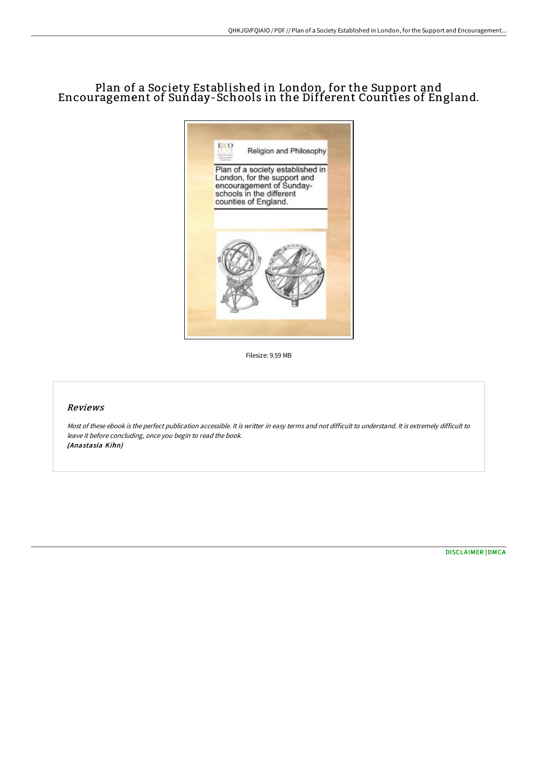# Plan of a Society Established in London, for the Support and Encouragement of Sunday-Schools in the Different Counties of England.



Filesize: 9.59 MB

#### Reviews

Most of these ebook is the perfect publication accessible. It is writter in easy terms and not difficult to understand. It is extremely difficult to leave it before concluding, once you begin to read the book. (Anastasia Kihn)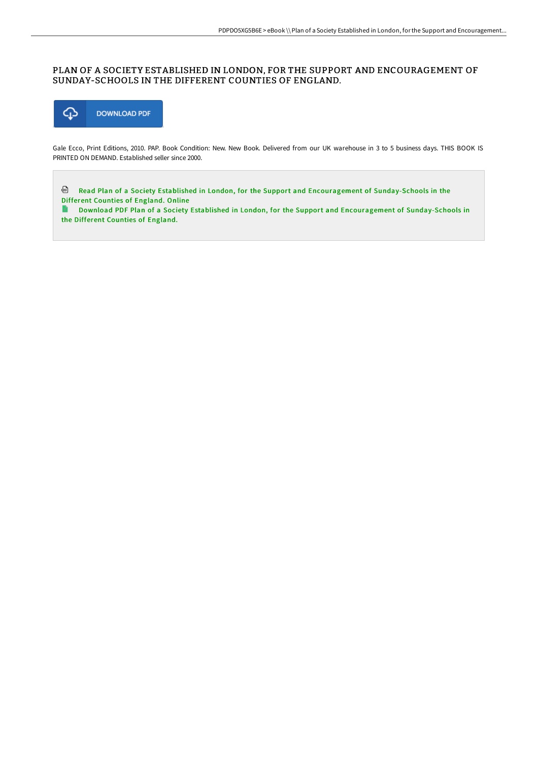## PLAN OF A SOCIETY ESTABLISHED IN LONDON, FOR THE SUPPORT AND ENCOURAGEMENT OF SUNDAY-SCHOOLS IN THE DIFFERENT COUNTIES OF ENGLAND.



Gale Ecco, Print Editions, 2010. PAP. Book Condition: New. New Book. Delivered from our UK warehouse in 3 to 5 business days. THIS BOOK IS PRINTED ON DEMAND. Established seller since 2000.

Read Plan of a Society Established in London, for the Support and Encouragement of [Sunday-Schools](http://techno-pub.tech/plan-of-a-society-established-in-london-for-the-.html) in the Different Counties of England. Online

Download PDF Plan of a Society Established in London, for the Support and Encouragement of [Sunday-Schools](http://techno-pub.tech/plan-of-a-society-established-in-london-for-the-.html) in  $\blacksquare$ the Different Counties of England.